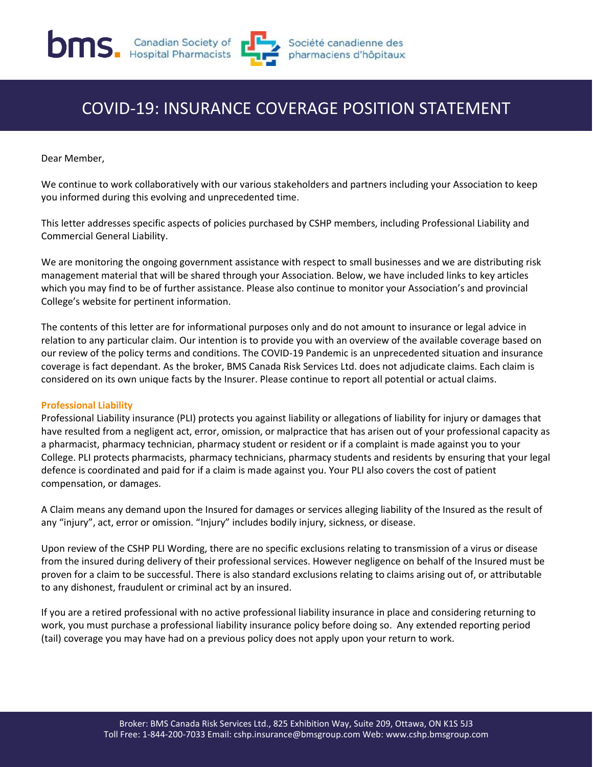

# COVID-19: INSURANCE COVERAGE POSITION STATEMENT

Dear Member,

We continue to work collaboratively with our various stakeholders and partners including your Association to keep you informed during this evolving and unprecedented time.

This letter addresses specific aspects of policies purchased by CSHP members, including Professional Liability and Commercial General Liability.

We are monitoring the ongoing government assistance with respect to small businesses and we are distributing risk management material that will be shared through your Association. Below, we have included links to key articles which you may find to be of further assistance. Please also continue to monitor your Association's and provincial College's website for pertinent information.

The contents of this letter are for informational purposes only and do not amount to insurance or legal advice in relation to any particular claim. Our intention is to provide you with an overview of the available coverage based on our review of the policy terms and conditions. The COVID-19 Pandemic is an unprecedented situation and insurance coverage is fact dependant. As the broker, BMS Canada Risk Services Ltd. does not adjudicate claims. Each claim is considered on its own unique facts by the Insurer. Please continue to report all potential or actual claims.

### **Professional Liability**

Professional Liability insurance (PLI) protects you against liability or allegations of liability for injury or damages that have resulted from a negligent act, error, omission, or malpractice that has arisen out of your professional capacity as a pharmacist, pharmacy technician, pharmacy student or resident or if a complaint is made against you to your College. PLI protects pharmacists, pharmacy technicians, pharmacy students and residents by ensuring that your legal defence is coordinated and paid for if a claim is made against you. Your PLI also covers the cost of patient compensation, or damages.

A Claim means any demand upon the Insured for damages or services alleging liability of the Insured as the result of any "injury", act, error or omission. "Injury" includes bodily injury, sickness, or disease.

Upon review of the CSHP PLI Wording, there are no specific exclusions relating to transmission of a virus or disease from the insured during delivery of their professional services. However negligence on behalf of the Insured must be proven for a claim to be successful. There is also standard exclusions relating to claims arising out of, or attributable to any dishonest, fraudulent or criminal act by an insured.

If you are a retired professional with no active professional liability insurance in place and considering returning to work, you must purchase a professional liability insurance policy before doing so. Any extended reporting period (tail) coverage you may have had on a previous policy does not apply upon your return to work.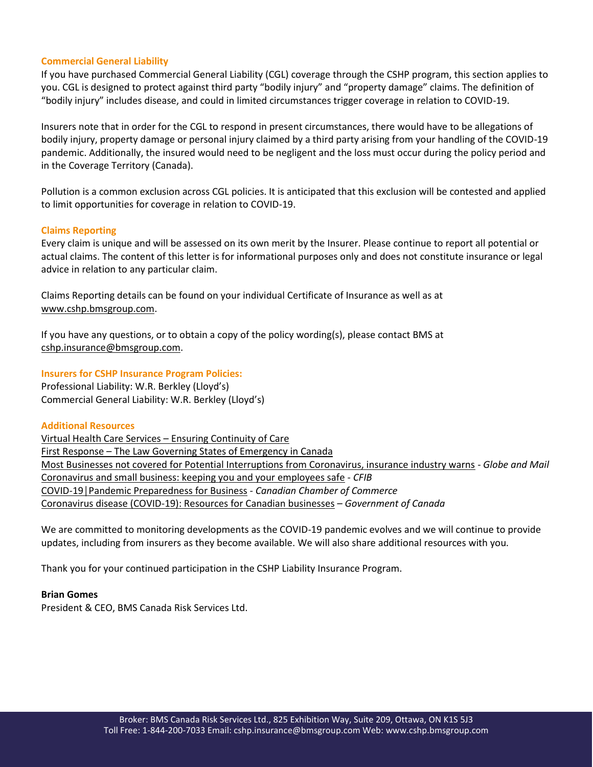## **Commercial General Liability**

If you have purchased Commercial General Liability (CGL) coverage through the CSHP program, this section applies to you. CGL is designed to protect against third party "bodily injury" and "property damage" claims. The definition of "bodily injury" includes disease, and could in limited circumstances trigger coverage in relation to COVID-19.

Insurers note that in order for the CGL to respond in present circumstances, there would have to be allegations of bodily injury, property damage or personal injury claimed by a third party arising from your handling of the COVID-19 pandemic. Additionally, the insured would need to be negligent and the loss must occur during the policy period and in the Coverage Territory (Canada).

Pollution is a common exclusion across CGL policies. It is anticipated that this exclusion will be contested and applied to limit opportunities for coverage in relation to COVID-19.

## **Claims Reporting**

Every claim is unique and will be assessed on its own merit by the Insurer. Please continue to report all potential or actual claims. The content of this letter is for informational purposes only and does not constitute insurance or legal advice in relation to any particular claim.

Claims Reporting details can be found on your individual Certificate of Insurance as well as at [www.cshp.bmsgroup.com.](http://www.cshp.bmsgroup.com/)

If you have any questions, or to obtain a copy of the policy wording(s), please contact BMS at [cshp.insurance@bmsgroup.com.](mailto:cshp.insurance@bmsgroup.com)

## **Insurers for CSHP Insurance Program Policies:**

Professional Liability: W.R. Berkley (Lloyd's) Commercial General Liability: W.R. Berkley (Lloyd's)

### **Additional Resources**

[Virtual Health Care Services](https://www.bmsgroup.com/where-we-are/canada) – Ensuring Continuity of Care First Response – [The Law Governing States of Emergency in Canada](https://www.bmsgroup.com/where-we-are/canada) [Most Businesses not covered for Potential Interruptions from Coronavirus, insurance industry warns](https://www.theglobeandmail.com/business/article-most-businesses-not-covered-for-potential-interruptions-from/) - *Globe and Mail* [Coronavirus and small business: keeping you and your employees safe](https://protect-eu.mimecast.com/s/bC0SC0VkQF2vO0Vujqt_6?domain=northbridgemarketingcommunication.cmail19.com) - *CFIB* COVID-[19│Pandemic Preparedness for Business](https://protect-eu.mimecast.com/s/9eHiCgLjzul6X59C8Xiue?domain=northbridgemarketingcommunication.cmail19.com) - *Canadian Chamber of Commerce* [Coronavirus disease \(COVID-19\): Resources for Canadian businesses](https://protect-eu.mimecast.com/s/bK6cCkZnETnlV39h3HwwZ?domain=northbridgemarketingcommunication.cmail19.com) *– Government of Canada*

We are committed to monitoring developments as the COVID-19 pandemic evolves and we will continue to provide updates, including from insurers as they become available. We will also share additional resources with you.

Thank you for your continued participation in the CSHP Liability Insurance Program.

### **Brian Gomes**

President & CEO, BMS Canada Risk Services Ltd.